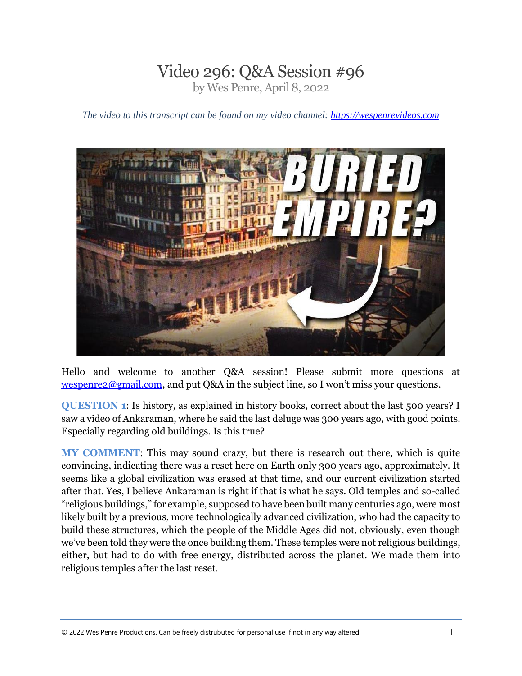## Video 296: Q&A Session #96 by Wes Penre, April 8, 2022

*The video to this transcript can be found on my video channel: [https://wespenrevideos.com](https://wespenrevideos.com/)  \_\_\_\_\_\_\_\_\_\_\_\_\_\_\_\_\_\_\_\_\_\_\_\_\_\_\_\_\_\_\_\_\_\_\_\_\_\_\_\_\_\_\_\_\_\_\_\_\_\_\_\_\_\_\_\_\_\_\_\_\_\_\_\_\_\_\_\_\_\_\_\_\_\_\_\_\_\_\_\_\_*



Hello and welcome to another Q&A session! Please submit more questions at [wespenre2@gmail.com,](mailto:wespenre2@gmail.com) and put Q&A in the subject line, so I won't miss your questions.

**QUESTION 1**: Is history, as explained in history books, correct about the last 500 years? I saw a video of Ankaraman, where he said the last deluge was 300 years ago, with good points. Especially regarding old buildings. Is this true?

**MY COMMENT**: This may sound crazy, but there is research out there, which is quite convincing, indicating there was a reset here on Earth only 300 years ago, approximately. It seems like a global civilization was erased at that time, and our current civilization started after that. Yes, I believe Ankaraman is right if that is what he says. Old temples and so-called "religious buildings," for example, supposed to have been built many centuries ago, were most likely built by a previous, more technologically advanced civilization, who had the capacity to build these structures, which the people of the Middle Ages did not, obviously, even though we've been told they were the once building them. These temples were not religious buildings, either, but had to do with free energy, distributed across the planet. We made them into religious temples after the last reset.

© <sup>2022</sup> Wes Penre Productions. Can be freely distrubuted for personal use if not in any way altered. 1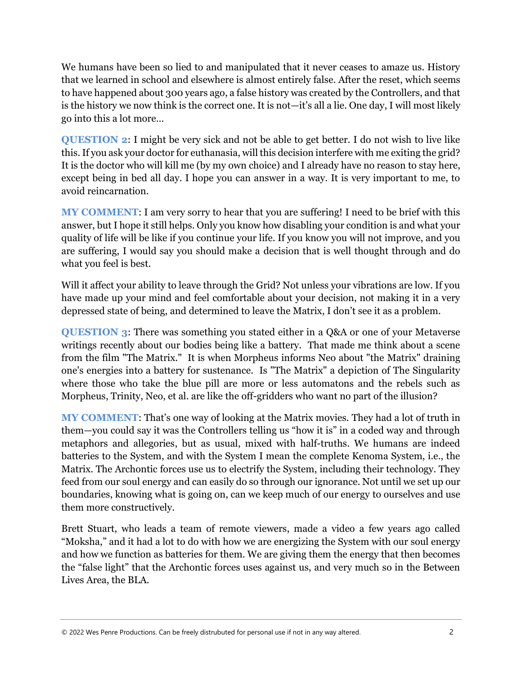We humans have been so lied to and manipulated that it never ceases to amaze us. History that we learned in school and elsewhere is almost entirely false. After the reset, which seems to have happened about 300 years ago, a false history was created by the Controllers, and that is the history we now think is the correct one. It is not—it's all a lie. One day, I will most likely go into this a lot more…

**QUESTION 2**: I might be very sick and not be able to get better. I do not wish to live like this. If you ask your doctor for euthanasia, will this decision interfere with me exiting the grid? It is the doctor who will kill me (by my own choice) and I already have no reason to stay here, except being in bed all day. I hope you can answer in a way. It is very important to me, to avoid reincarnation.

**MY COMMENT**: I am very sorry to hear that you are suffering! I need to be brief with this answer, but I hope it still helps. Only you know how disabling your condition is and what your quality of life will be like if you continue your life. If you know you will not improve, and you are suffering, I would say you should make a decision that is well thought through and do what you feel is best.

Will it affect your ability to leave through the Grid? Not unless your vibrations are low. If you have made up your mind and feel comfortable about your decision, not making it in a very depressed state of being, and determined to leave the Matrix, I don't see it as a problem.

**QUESTION 3**: There was something you stated either in a Q&A or one of your Metaverse writings recently about our bodies being like a battery. That made me think about a scene from the film "The Matrix." It is when Morpheus informs Neo about "the Matrix" draining one's energies into a battery for sustenance. Is "The Matrix" a depiction of The Singularity where those who take the blue pill are more or less automatons and the rebels such as Morpheus, Trinity, Neo, et al. are like the off-gridders who want no part of the illusion?

**MY COMMENT**: That's one way of looking at the Matrix movies. They had a lot of truth in them—you could say it was the Controllers telling us "how it is" in a coded way and through metaphors and allegories, but as usual, mixed with half-truths. We humans are indeed batteries to the System, and with the System I mean the complete Kenoma System, i.e., the Matrix. The Archontic forces use us to electrify the System, including their technology. They feed from our soul energy and can easily do so through our ignorance. Not until we set up our boundaries, knowing what is going on, can we keep much of our energy to ourselves and use them more constructively.

Brett Stuart, who leads a team of remote viewers, made a video a few years ago called "Moksha," and it had a lot to do with how we are energizing the System with our soul energy and how we function as batteries for them. We are giving them the energy that then becomes the "false light" that the Archontic forces uses against us, and very much so in the Between Lives Area, the BLA.

© <sup>2022</sup> Wes Penre Productions. Can be freely distrubuted for personal use if not in any way altered. 2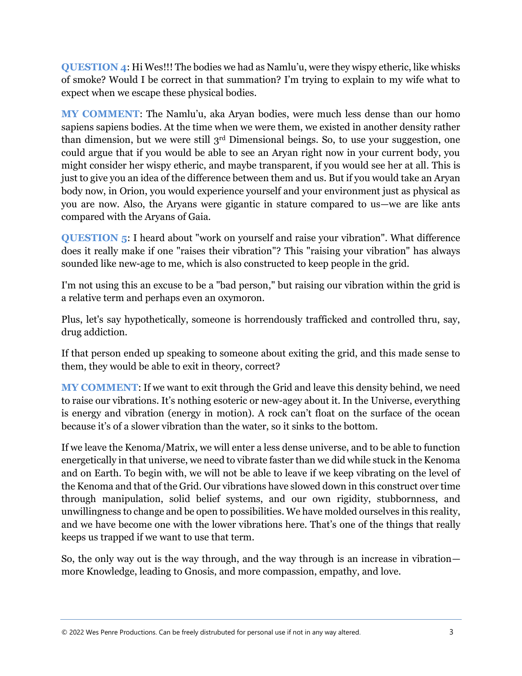**QUESTION 4**: Hi Wes!!! The bodies we had as Namlu'u, were they wispy etheric, like whisks of smoke? Would I be correct in that summation? I'm trying to explain to my wife what to expect when we escape these physical bodies.

**MY COMMENT**: The Namlu'u, aka Aryan bodies, were much less dense than our homo sapiens sapiens bodies. At the time when we were them, we existed in another density rather than dimension, but we were still 3<sup>rd</sup> Dimensional beings. So, to use your suggestion, one could argue that if you would be able to see an Aryan right now in your current body, you might consider her wispy etheric, and maybe transparent, if you would see her at all. This is just to give you an idea of the difference between them and us. But if you would take an Aryan body now, in Orion, you would experience yourself and your environment just as physical as you are now. Also, the Aryans were gigantic in stature compared to us—we are like ants compared with the Aryans of Gaia.

**QUESTION 5**: I heard about "work on yourself and raise your vibration". What difference does it really make if one "raises their vibration"? This "raising your vibration" has always sounded like new-age to me, which is also constructed to keep people in the grid.

I'm not using this an excuse to be a "bad person," but raising our vibration within the grid is a relative term and perhaps even an oxymoron.

Plus, let's say hypothetically, someone is horrendously trafficked and controlled thru, say, drug addiction.

If that person ended up speaking to someone about exiting the grid, and this made sense to them, they would be able to exit in theory, correct?

**MY COMMENT**: If we want to exit through the Grid and leave this density behind, we need to raise our vibrations. It's nothing esoteric or new-agey about it. In the Universe, everything is energy and vibration (energy in motion). A rock can't float on the surface of the ocean because it's of a slower vibration than the water, so it sinks to the bottom.

If we leave the Kenoma/Matrix, we will enter a less dense universe, and to be able to function energetically in that universe, we need to vibrate faster than we did while stuck in the Kenoma and on Earth. To begin with, we will not be able to leave if we keep vibrating on the level of the Kenoma and that of the Grid. Our vibrations have slowed down in this construct over time through manipulation, solid belief systems, and our own rigidity, stubbornness, and unwillingness to change and be open to possibilities. We have molded ourselves in this reality, and we have become one with the lower vibrations here. That's one of the things that really keeps us trapped if we want to use that term.

So, the only way out is the way through, and the way through is an increase in vibration more Knowledge, leading to Gnosis, and more compassion, empathy, and love.

© <sup>2022</sup> Wes Penre Productions. Can be freely distrubuted for personal use if not in any way altered. 3